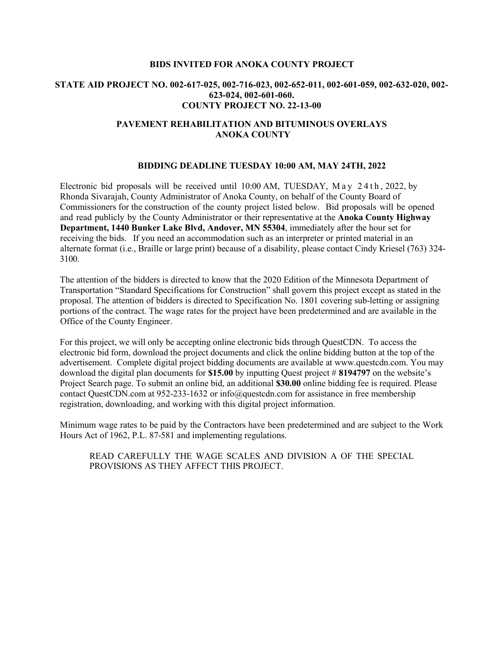## **BIDS INVITED FOR ANOKA COUNTY PROJECT**

## **STATE AID PROJECT NO. 002-617-025, 002-716-023, 002-652-011, 002-601-059, 002-632-020, 002- 623-024, 002-601-060. COUNTY PROJECT NO. 22-13-00**

## **PAVEMENT REHABILITATION AND BITUMINOUS OVERLAYS ANOKA COUNTY**

## **BIDDING DEADLINE TUESDAY 10:00 AM, MAY 24TH, 2022**

Electronic bid proposals will be received until 10:00 AM, TUESDAY, M ay 24th , 2022, by Rhonda Sivarajah, County Administrator of Anoka County, on behalf of the County Board of Commissioners for the construction of the county project listed below. Bid proposals will be opened and read publicly by the County Administrator or their representative at the **Anoka County Highway Department, 1440 Bunker Lake Blvd, Andover, MN 55304**, immediately after the hour set for receiving the bids. If you need an accommodation such as an interpreter or printed material in an alternate format (i.e., Braille or large print) because of a disability, please contact Cindy Kriesel (763) 324- 3100.

The attention of the bidders is directed to know that the 2020 Edition of the Minnesota Department of Transportation "Standard Specifications for Construction" shall govern this project except as stated in the proposal. The attention of bidders is directed to Specification No. 1801 covering sub-letting or assigning portions of the contract. The wage rates for the project have been predetermined and are available in the Office of the County Engineer.

For this project, we will only be accepting online electronic bids through QuestCDN. To access the electronic bid form, download the project documents and click the online bidding button at the top of the advertisement. Complete digital project bidding documents are available at www.questcdn.com. You may download the digital plan documents for **\$15.00** by inputting Quest project # **8194797** on the website's Project Search page. To submit an online bid, an additional **\$30.00** online bidding fee is required. Please contact QuestCDN.com at 952-233-1632 or info@questcdn.com for assistance in free membership registration, downloading, and working with this digital project information.

Minimum wage rates to be paid by the Contractors have been predetermined and are subject to the Work Hours Act of 1962, P.L. 87-581 and implementing regulations.

READ CAREFULLY THE WAGE SCALES AND DIVISION A OF THE SPECIAL PROVISIONS AS THEY AFFECT THIS PROJECT.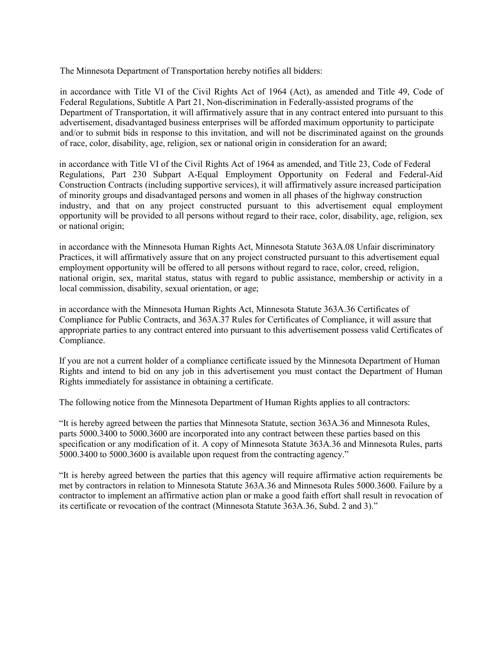The Minnesota Department of Transportation hereby notifies all bidders:

in accordance with Title VI of the Civil Rights Act of 1964 (Act), as amended and Title 49, Code of Federal Regulations, Subtitle A Part 21, Non-discrimination in Federally-assisted programs of the Department of Transportation, it will affirmatively assure that in any contract entered into pursuant to this advertisement, disadvantaged business enterprises will be afforded maximum opportunity to participate and/or to submit bids in response to this invitation, and will not be discriminated against on the grounds of race, color, disability, age, religion, sex or national origin in consideration for an award;

in accordance with Title VI of the Civil Rights Act of 1964 as amended, and Title 23, Code of Federal Regulations, Part 230 Subpart A-Equal Employment Opportunity on Federal and Federal-Aid Construction Contracts (including supportive services), it will affirmatively assure increased participation of minority groups and disadvantaged persons and women in all phases of the highway construction industry, and that on any project constructed pursuant to this advertisement equal employment opportunity will be provided to all persons without regard to their race, color, disability, age, religion, sex or national origin;

in accordance with the Minnesota Human Rights Act, Minnesota Statute 363A.08 Unfair discriminatory Practices, it will affirmatively assure that on any project constructed pursuant to this advertisement equal employment opportunity will be offered to all persons without regard to race, color, creed, religion, national origin, sex, marital status, status with regard to public assistance, membership or activity in a local commission, disability, sexual orientation, or age;

in accordance with the Minnesota Human Rights Act, Minnesota Statute 363A.36 Certificates of Compliance for Public Contracts, and 363A.37 Rules for Certificates of Compliance, it will assure that appropriate parties to any contract entered into pursuant to this advertisement possess valid Certificates of Compliance.

If you are not a current holder of a compliance certificate issued by the Minnesota Department of Human Rights and intend to bid on any job in this advertisement you must contact the Department of Human Rights immediately for assistance in obtaining a certificate.

The following notice from the Minnesota Department of Human Rights applies to all contractors:

"It is hereby agreed between the parties that Minnesota Statute, section 363A.36 and Minnesota Rules, parts 5000.3400 to 5000.3600 are incorporated into any contract between these parties based on this specification or any modification of it. A copy of Minnesota Statute 363A.36 and Minnesota Rules, parts 5000.3400 to 5000.3600 is available upon request from the contracting agency."

"It is hereby agreed between the parties that this agency will require affirmative action requirements be met by contractors in relation to Minnesota Statute 363A.36 and Minnesota Rules 5000.3600. Failure by a contractor to implement an affirmative action plan or make a good faith effort shall result in revocation of its certificate or revocation of the contract (Minnesota Statute 363A.36, Subd. 2 and 3)."